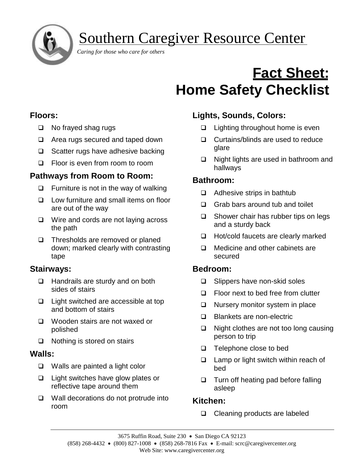

Southern Caregiver Resource Center

 *Caring for those who care for others*

# **Fact Sheet: Home Safety Checklist**

## **Floors:**

- ❑ No frayed shag rugs
- ❑ Area rugs secured and taped down
- ❑ Scatter rugs have adhesive backing
- ❑ Floor is even from room to room

## **Pathways from Room to Room:**

- ❑ Furniture is not in the way of walking
- ❑ Low furniture and small items on floor are out of the way
- ❑ Wire and cords are not laying across the path
- ❑ Thresholds are removed or planed down; marked clearly with contrasting tape

## **Stairways:**

- ❑ Handrails are sturdy and on both sides of stairs
- ❑ Light switched are accessible at top and bottom of stairs
- ❑ Wooden stairs are not waxed or polished
- ❑ Nothing is stored on stairs

#### **Walls:**

- ❑ Walls are painted a light color
- ❑ Light switches have glow plates or reflective tape around them
- ❑ Wall decorations do not protrude into room

# **Lights, Sounds, Colors:**

- ❑ Lighting throughout home is even
- ❑ Curtains/blinds are used to reduce glare
- ❑ Night lights are used in bathroom and hallways

## **Bathroom:**

- ❑ Adhesive strips in bathtub
- ❑ Grab bars around tub and toilet
- ❑ Shower chair has rubber tips on legs and a sturdy back
- ❑ Hot/cold faucets are clearly marked
- ❑ Medicine and other cabinets are secured

## **Bedroom:**

- ❑ Slippers have non-skid soles
- ❑ Floor next to bed free from clutter
- ❑ Nursery monitor system in place
- ❑ Blankets are non-electric
- ❑ Night clothes are not too long causing person to trip
- ❑ Telephone close to bed
- ❑ Lamp or light switch within reach of bed
- ❑ Turn off heating pad before falling asleep

## **Kitchen:**

❑ Cleaning products are labeled